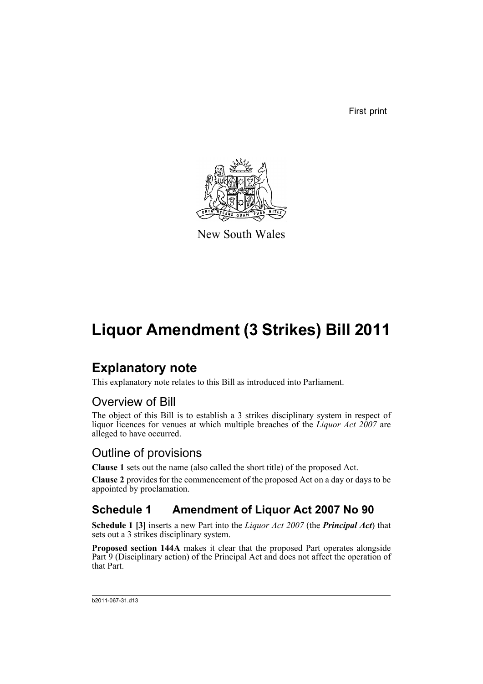First print



New South Wales

# **Liquor Amendment (3 Strikes) Bill 2011**

# **Explanatory note**

This explanatory note relates to this Bill as introduced into Parliament.

# Overview of Bill

The object of this Bill is to establish a 3 strikes disciplinary system in respect of liquor licences for venues at which multiple breaches of the *Liquor Act 2007* are alleged to have occurred.

# Outline of provisions

**Clause 1** sets out the name (also called the short title) of the proposed Act.

**Clause 2** provides for the commencement of the proposed Act on a day or days to be appointed by proclamation.

# **Schedule 1 Amendment of Liquor Act 2007 No 90**

**Schedule 1 [3]** inserts a new Part into the *Liquor Act 2007* (the *Principal Act*) that sets out a 3 strikes disciplinary system.

**Proposed section 144A** makes it clear that the proposed Part operates alongside Part 9 (Disciplinary action) of the Principal Act and does not affect the operation of that Part.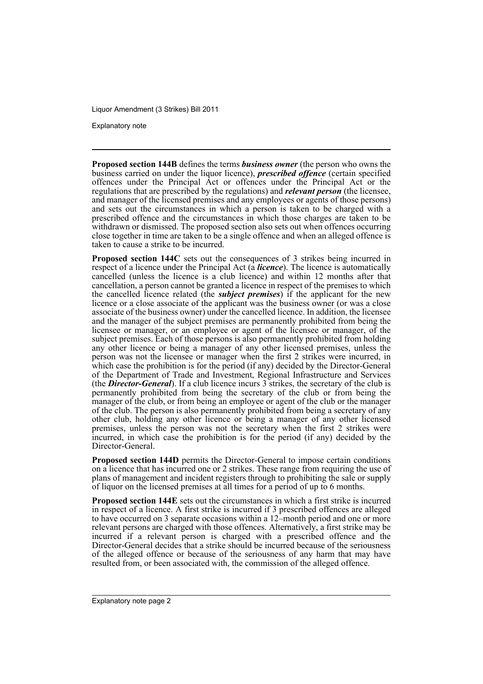Explanatory note

**Proposed section 144B** defines the terms *business owner* (the person who owns the business carried on under the liquor licence), *prescribed offence* (certain specified offences under the Principal Act or offences under the Principal Act or the regulations that are prescribed by the regulations) and *relevant person* (the licensee, and manager of the licensed premises and any employees or agents of those persons) and sets out the circumstances in which a person is taken to be charged with a prescribed offence and the circumstances in which those charges are taken to be withdrawn or dismissed. The proposed section also sets out when offences occurring close together in time are taken to be a single offence and when an alleged offence is taken to cause a strike to be incurred.

**Proposed section 144C** sets out the consequences of 3 strikes being incurred in respect of a licence under the Principal Act (a *licence*). The licence is automatically cancelled (unless the licence is a club licence) and within 12 months after that cancellation, a person cannot be granted a licence in respect of the premises to which the cancelled licence related (the *subject premises*) if the applicant for the new licence or a close associate of the applicant was the business owner (or was a close associate of the business owner) under the cancelled licence. In addition, the licensee and the manager of the subject premises are permanently prohibited from being the licensee or manager, or an employee or agent of the licensee or manager, of the subject premises. Each of those persons is also permanently prohibited from holding any other licence or being a manager of any other licensed premises, unless the person was not the licensee or manager when the first 2 strikes were incurred, in which case the prohibition is for the period (if any) decided by the Director-General of the Department of Trade and Investment, Regional Infrastructure and Services (the *Director-General*). If a club licence incurs 3 strikes, the secretary of the club is permanently prohibited from being the secretary of the club or from being the manager of the club, or from being an employee or agent of the club or the manager of the club. The person is also permanently prohibited from being a secretary of any other club, holding any other licence or being a manager of any other licensed premises, unless the person was not the secretary when the first 2 strikes were incurred, in which case the prohibition is for the period (if any) decided by the Director-General.

**Proposed section 144D** permits the Director-General to impose certain conditions on a licence that has incurred one or 2 strikes. These range from requiring the use of plans of management and incident registers through to prohibiting the sale or supply of liquor on the licensed premises at all times for a period of up to 6 months.

**Proposed section 144E** sets out the circumstances in which a first strike is incurred in respect of a licence. A first strike is incurred if 3 prescribed offences are alleged to have occurred on 3 separate occasions within a 12–month period and one or more relevant persons are charged with those offences. Alternatively, a first strike may be incurred if a relevant person is charged with a prescribed offence and the Director-General decides that a strike should be incurred because of the seriousness of the alleged offence or because of the seriousness of any harm that may have resulted from, or been associated with, the commission of the alleged offence.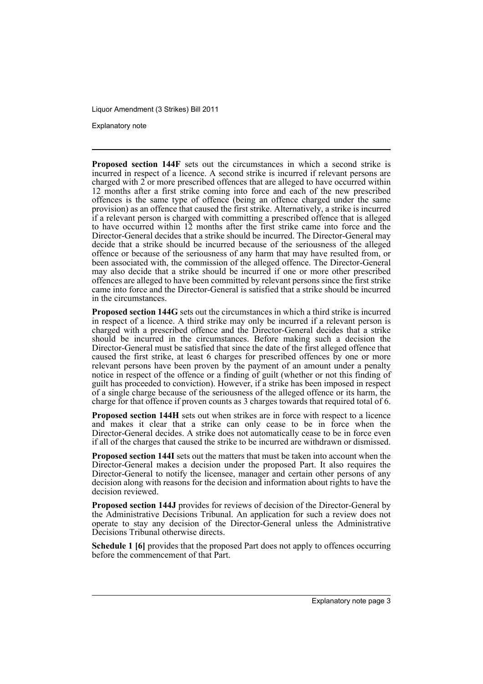Explanatory note

**Proposed section 144F** sets out the circumstances in which a second strike is incurred in respect of a licence. A second strike is incurred if relevant persons are charged with  $2$  or more prescribed offences that are alleged to have occurred within 12 months after a first strike coming into force and each of the new prescribed offences is the same type of offence (being an offence charged under the same provision) as an offence that caused the first strike. Alternatively, a strike is incurred if a relevant person is charged with committing a prescribed offence that is alleged to have occurred within 12 months after the first strike came into force and the Director-General decides that a strike should be incurred. The Director-General may decide that a strike should be incurred because of the seriousness of the alleged offence or because of the seriousness of any harm that may have resulted from, or been associated with, the commission of the alleged offence. The Director-General may also decide that a strike should be incurred if one or more other prescribed offences are alleged to have been committed by relevant persons since the first strike came into force and the Director-General is satisfied that a strike should be incurred in the circumstances.

**Proposed section 144G** sets out the circumstances in which a third strike is incurred in respect of a licence. A third strike may only be incurred if a relevant person is charged with a prescribed offence and the Director-General decides that a strike should be incurred in the circumstances. Before making such a decision the Director-General must be satisfied that since the date of the first alleged offence that caused the first strike, at least 6 charges for prescribed offences by one or more relevant persons have been proven by the payment of an amount under a penalty notice in respect of the offence or a finding of guilt (whether or not this finding of guilt has proceeded to conviction). However, if a strike has been imposed in respect of a single charge because of the seriousness of the alleged offence or its harm, the charge for that offence if proven counts as 3 charges towards that required total of 6.

**Proposed section 144H** sets out when strikes are in force with respect to a licence and makes it clear that a strike can only cease to be in force when the Director-General decides. A strike does not automatically cease to be in force even if all of the charges that caused the strike to be incurred are withdrawn or dismissed.

**Proposed section 144I** sets out the matters that must be taken into account when the Director-General makes a decision under the proposed Part. It also requires the Director-General to notify the licensee, manager and certain other persons of any decision along with reasons for the decision and information about rights to have the decision reviewed.

**Proposed section 144J** provides for reviews of decision of the Director-General by the Administrative Decisions Tribunal. An application for such a review does not operate to stay any decision of the Director-General unless the Administrative Decisions Tribunal otherwise directs.

**Schedule 1 [6]** provides that the proposed Part does not apply to offences occurring before the commencement of that Part.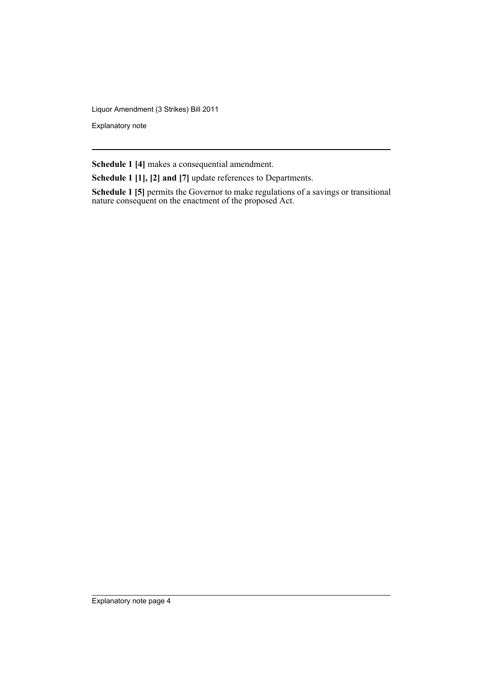Explanatory note

**Schedule 1 [4]** makes a consequential amendment.

**Schedule 1 [1], [2] and [7]** update references to Departments.

**Schedule 1 [5]** permits the Governor to make regulations of a savings or transitional nature consequent on the enactment of the proposed Act.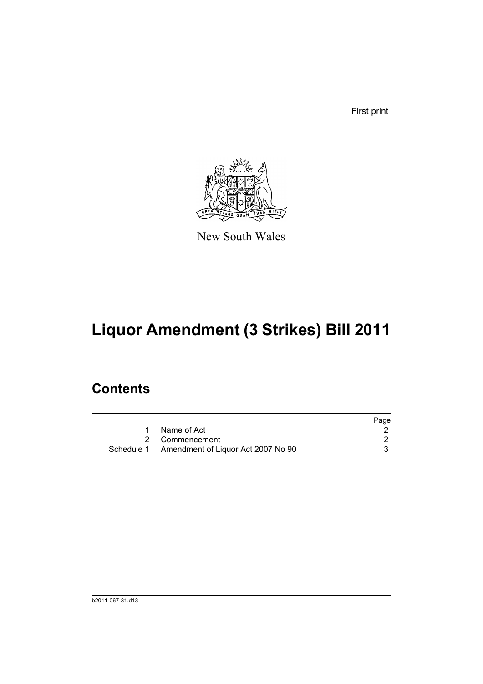First print



New South Wales

# **Liquor Amendment (3 Strikes) Bill 2011**

# **Contents**

|                                               | Page |
|-----------------------------------------------|------|
| 1 Name of Act                                 |      |
| 2 Commencement                                |      |
| Schedule 1 Amendment of Liquor Act 2007 No 90 |      |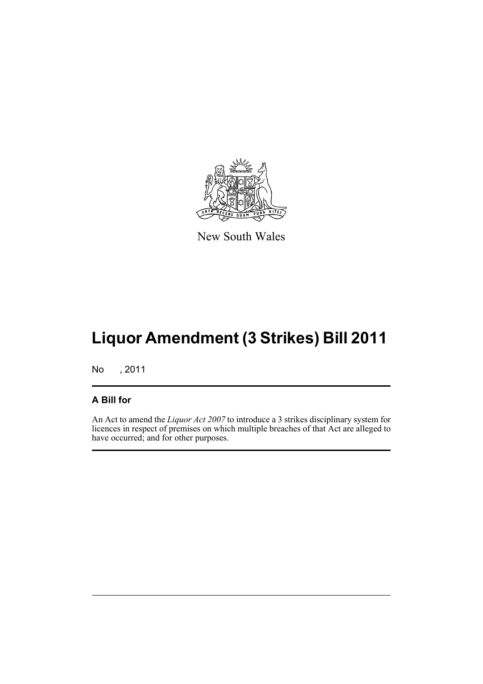

New South Wales

# **Liquor Amendment (3 Strikes) Bill 2011**

No , 2011

## **A Bill for**

An Act to amend the *Liquor Act 2007* to introduce a 3 strikes disciplinary system for licences in respect of premises on which multiple breaches of that Act are alleged to have occurred; and for other purposes.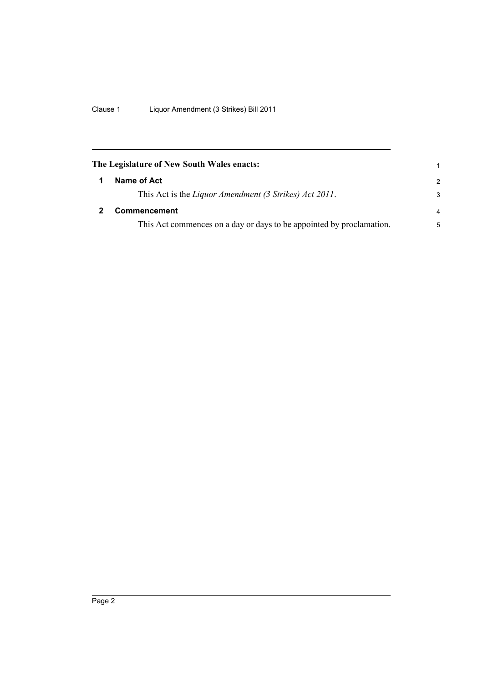<span id="page-7-1"></span><span id="page-7-0"></span>

| The Legislature of New South Wales enacts:                           | 1              |
|----------------------------------------------------------------------|----------------|
| Name of Act                                                          | $\mathcal{P}$  |
| This Act is the Liquor Amendment (3 Strikes) Act 2011.               | 3              |
| Commencement                                                         | $\overline{a}$ |
| This Act commences on a day or days to be appointed by proclamation. | 5              |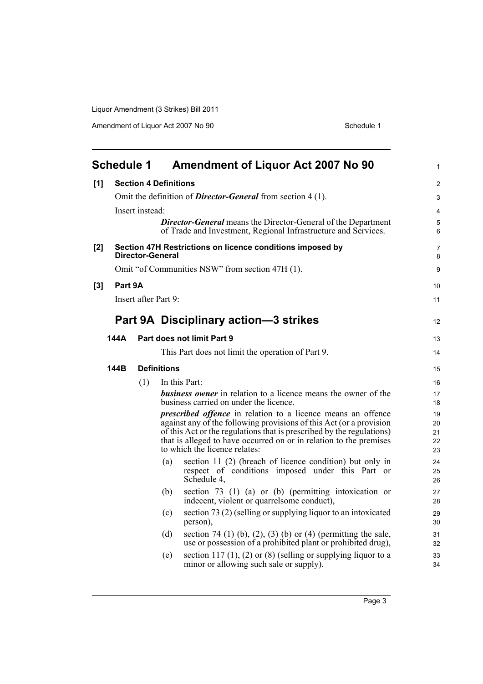Amendment of Liquor Act 2007 No 90 Schedule 1

<span id="page-8-0"></span>

|     | <b>Schedule 1</b>                                                             |                      |                    | <b>Amendment of Liquor Act 2007 No 90</b>                                                                                                    | $\mathbf{1}$   |  |  |  |
|-----|-------------------------------------------------------------------------------|----------------------|--------------------|----------------------------------------------------------------------------------------------------------------------------------------------|----------------|--|--|--|
| [1] | <b>Section 4 Definitions</b>                                                  |                      |                    |                                                                                                                                              |                |  |  |  |
|     |                                                                               |                      |                    | Omit the definition of <i>Director-General</i> from section 4 (1).                                                                           | 3              |  |  |  |
|     |                                                                               | Insert instead:      |                    |                                                                                                                                              | $\overline{4}$ |  |  |  |
|     |                                                                               |                      |                    | <b>Director-General</b> means the Director-General of the Department<br>of Trade and Investment, Regional Infrastructure and Services.       | 5<br>6         |  |  |  |
| [2] | Section 47H Restrictions on licence conditions imposed by<br>Director-General |                      |                    |                                                                                                                                              |                |  |  |  |
|     |                                                                               |                      |                    | Omit "of Communities NSW" from section 47H (1).                                                                                              | 9              |  |  |  |
| [3] | Part 9A                                                                       |                      |                    |                                                                                                                                              | 10             |  |  |  |
|     |                                                                               | Insert after Part 9: |                    |                                                                                                                                              |                |  |  |  |
|     |                                                                               |                      |                    | Part 9A Disciplinary action-3 strikes                                                                                                        | 12             |  |  |  |
|     | 144A                                                                          |                      |                    | Part does not limit Part 9                                                                                                                   | 13             |  |  |  |
|     | This Part does not limit the operation of Part 9.                             |                      |                    |                                                                                                                                              |                |  |  |  |
|     | 144B                                                                          |                      | <b>Definitions</b> |                                                                                                                                              | 15             |  |  |  |
|     |                                                                               | (1)                  |                    | In this Part:                                                                                                                                | 16             |  |  |  |
|     |                                                                               |                      |                    | <b>business owner</b> in relation to a licence means the owner of the<br>business carried on under the licence.                              | 17<br>18       |  |  |  |
|     |                                                                               |                      |                    | <i>prescribed offence</i> in relation to a licence means an offence                                                                          | 19             |  |  |  |
|     |                                                                               |                      |                    | against any of the following provisions of this Act (or a provision<br>of this Act or the regulations that is prescribed by the regulations) | 20<br>21       |  |  |  |
|     |                                                                               |                      |                    | that is alleged to have occurred on or in relation to the premises<br>to which the licence relates:                                          | 22<br>23       |  |  |  |
|     |                                                                               |                      | (a)                | section 11 (2) (breach of licence condition) but only in<br>respect of conditions imposed under this Part or<br>Schedule 4,                  | 24<br>25<br>26 |  |  |  |
|     |                                                                               |                      | (b)                | section $73$ (1) (a) or (b) (permitting intoxication or<br>indecent, violent or quarrelsome conduct),                                        | 27<br>28       |  |  |  |
|     |                                                                               |                      | (c)                | section 73 (2) (selling or supplying liquor to an intoxicated<br>person),                                                                    | 29<br>30       |  |  |  |
|     |                                                                               |                      | (d)                | section 74 (1) (b), (2), (3) (b) or (4) (permitting the sale,<br>use or possession of a prohibited plant or prohibited drug),                | 31<br>32       |  |  |  |
|     |                                                                               |                      | (e)                | section 117 (1), (2) or (8) (selling or supplying liquor to a<br>minor or allowing such sale or supply).                                     | 33<br>34       |  |  |  |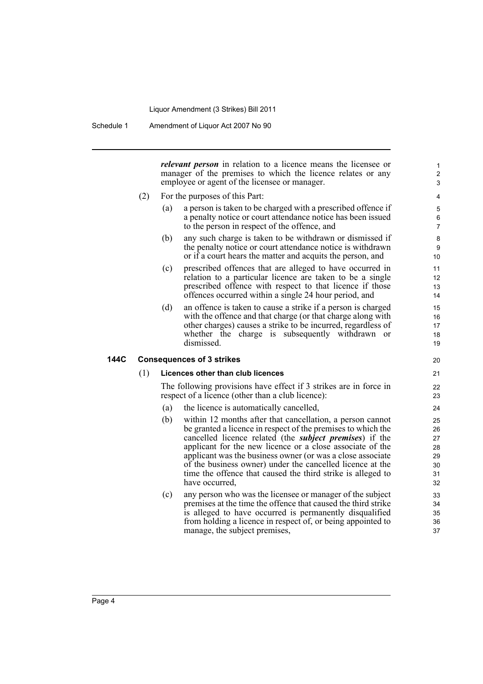Schedule 1 Amendment of Liquor Act 2007 No 90

*relevant person* in relation to a licence means the licensee or manager of the premises to which the licence relates or any employee or agent of the licensee or manager.

- (2) For the purposes of this Part:
	- (a) a person is taken to be charged with a prescribed offence if a penalty notice or court attendance notice has been issued to the person in respect of the offence, and
	- (b) any such charge is taken to be withdrawn or dismissed if the penalty notice or court attendance notice is withdrawn or if a court hears the matter and acquits the person, and
	- (c) prescribed offences that are alleged to have occurred in relation to a particular licence are taken to be a single prescribed offence with respect to that licence if those offences occurred within a single 24 hour period, and
	- (d) an offence is taken to cause a strike if a person is charged with the offence and that charge (or that charge along with other charges) causes a strike to be incurred, regardless of whether the charge is subsequently withdrawn or dismissed.

### **144C Consequences of 3 strikes**

#### (1) **Licences other than club licences**

The following provisions have effect if 3 strikes are in force in respect of a licence (other than a club licence):

- (a) the licence is automatically cancelled,
- (b) within 12 months after that cancellation, a person cannot be granted a licence in respect of the premises to which the cancelled licence related (the *subject premises*) if the applicant for the new licence or a close associate of the applicant was the business owner (or was a close associate of the business owner) under the cancelled licence at the time the offence that caused the third strike is alleged to have occurred,
- (c) any person who was the licensee or manager of the subject premises at the time the offence that caused the third strike is alleged to have occurred is permanently disqualified from holding a licence in respect of, or being appointed to manage, the subject premises,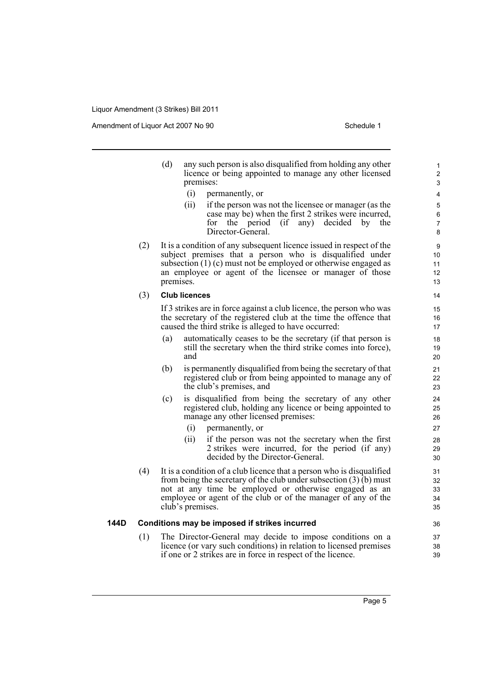Amendment of Liquor Act 2007 No 90 Schedule 1

|      |     | (d)<br>any such person is also disqualified from holding any other<br>licence or being appointed to manage any other licensed<br>premises:<br>(i)<br>permanently, or<br>(ii)<br>if the person was not the licensee or manager (as the<br>case may be) when the first 2 strikes were incurred,<br>the period<br>$\int$<br>decided<br>for<br>any)<br>by<br>the<br>Director-General. |
|------|-----|-----------------------------------------------------------------------------------------------------------------------------------------------------------------------------------------------------------------------------------------------------------------------------------------------------------------------------------------------------------------------------------|
|      | (2) | It is a condition of any subsequent licence issued in respect of the<br>subject premises that a person who is disqualified under<br>subsection $(1)$ (c) must not be employed or otherwise engaged as<br>an employee or agent of the licensee or manager of those<br>premises.                                                                                                    |
|      | (3) | <b>Club licences</b>                                                                                                                                                                                                                                                                                                                                                              |
|      |     | If 3 strikes are in force against a club licence, the person who was<br>the secretary of the registered club at the time the offence that<br>caused the third strike is alleged to have occurred:                                                                                                                                                                                 |
|      |     | automatically ceases to be the secretary (if that person is<br>(a)<br>still the secretary when the third strike comes into force),<br>and                                                                                                                                                                                                                                         |
|      |     | (b)<br>is permanently disqualified from being the secretary of that<br>registered club or from being appointed to manage any of<br>the club's premises, and                                                                                                                                                                                                                       |
|      |     | (c)<br>is disqualified from being the secretary of any other<br>registered club, holding any licence or being appointed to<br>manage any other licensed premises:<br>(i)<br>permanently, or                                                                                                                                                                                       |
|      |     | (ii)<br>if the person was not the secretary when the first<br>2 strikes were incurred, for the period (if any)<br>decided by the Director-General.                                                                                                                                                                                                                                |
|      | (4) | It is a condition of a club licence that a person who is disqualified<br>from being the secretary of the club under subsection $(3)(b)$ must<br>not at any time be employed or otherwise engaged as an<br>employee or agent of the club or of the manager of any of the<br>club's premises.                                                                                       |
| 144D |     | Conditions may be imposed if strikes incurred                                                                                                                                                                                                                                                                                                                                     |
|      | (1) | The Director-General may decide to impose conditions on a<br>licence (or vary such conditions) in relation to licensed premises                                                                                                                                                                                                                                                   |

if one or 2 strikes are in force in respect of the licence.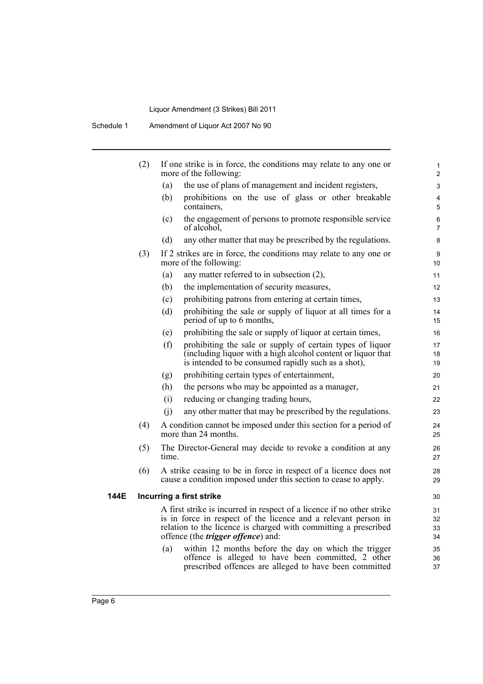|      | (2) |       | If one strike is in force, the conditions may relate to any one or<br>more of the following:                                                                                                                                                                                                                     | 1<br>$\overline{\mathbf{c}}$ |
|------|-----|-------|------------------------------------------------------------------------------------------------------------------------------------------------------------------------------------------------------------------------------------------------------------------------------------------------------------------|------------------------------|
|      |     | (a)   | the use of plans of management and incident registers,                                                                                                                                                                                                                                                           | 3                            |
|      |     | (b)   | prohibitions on the use of glass or other breakable<br>containers,                                                                                                                                                                                                                                               | $\overline{4}$<br>5          |
|      |     | (c)   | the engagement of persons to promote responsible service<br>of alcohol.                                                                                                                                                                                                                                          | 6<br>$\overline{7}$          |
|      |     | (d)   | any other matter that may be prescribed by the regulations.                                                                                                                                                                                                                                                      | 8                            |
|      | (3) |       | If 2 strikes are in force, the conditions may relate to any one or<br>more of the following:                                                                                                                                                                                                                     | 9<br>10                      |
|      |     | (a)   | any matter referred to in subsection (2),                                                                                                                                                                                                                                                                        | 11                           |
|      |     | (b)   | the implementation of security measures,                                                                                                                                                                                                                                                                         | 12                           |
|      |     | (c)   | prohibiting patrons from entering at certain times,                                                                                                                                                                                                                                                              | 13                           |
|      |     | (d)   | prohibiting the sale or supply of liquor at all times for a<br>period of up to 6 months,                                                                                                                                                                                                                         | 14<br>15                     |
|      |     | (e)   | prohibiting the sale or supply of liquor at certain times,                                                                                                                                                                                                                                                       | 16                           |
|      |     | (f)   | prohibiting the sale or supply of certain types of liquor<br>(including liquor with a high alcohol content or liquor that<br>is intended to be consumed rapidly such as a shot),                                                                                                                                 | 17<br>18<br>19               |
|      |     | (g)   | prohibiting certain types of entertainment,                                                                                                                                                                                                                                                                      | 20                           |
|      |     | (h)   | the persons who may be appointed as a manager,                                                                                                                                                                                                                                                                   | 21                           |
|      |     | (i)   | reducing or changing trading hours,                                                                                                                                                                                                                                                                              | 22                           |
|      |     | (i)   | any other matter that may be prescribed by the regulations.                                                                                                                                                                                                                                                      | 23                           |
|      | (4) |       | A condition cannot be imposed under this section for a period of<br>more than 24 months.                                                                                                                                                                                                                         | 24<br>25                     |
|      | (5) | time. | The Director-General may decide to revoke a condition at any                                                                                                                                                                                                                                                     | 26<br>27                     |
|      | (6) |       | A strike ceasing to be in force in respect of a licence does not<br>cause a condition imposed under this section to cease to apply.                                                                                                                                                                              | 28<br>29                     |
| 144E |     |       | Incurring a first strike                                                                                                                                                                                                                                                                                         | 30                           |
|      |     | (a)   | A first strike is incurred in respect of a licence if no other strike<br>is in force in respect of the licence and a relevant person in<br>relation to the licence is charged with committing a prescribed<br>offence (the <i>trigger offence</i> ) and:<br>within 12 months before the day on which the trigger | 31<br>32<br>33<br>34<br>35   |
|      |     |       | offence is alleged to have been committed, 2 other<br>prescribed offences are alleged to have been committed                                                                                                                                                                                                     | 36<br>37                     |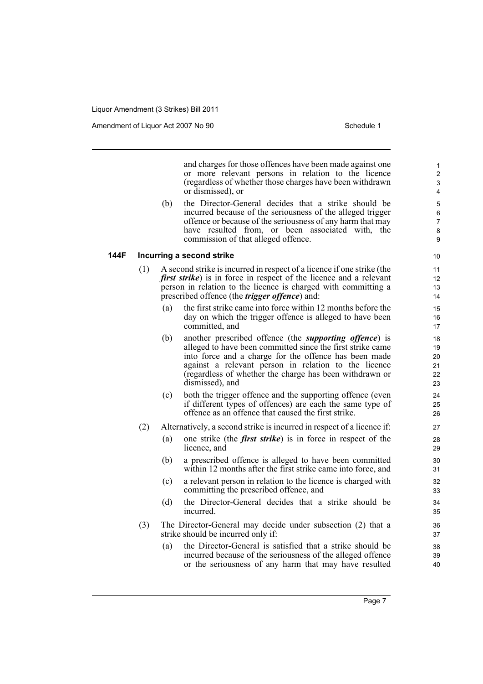Amendment of Liquor Act 2007 No 90 Schedule 1

and charges for those offences have been made against one or more relevant persons in relation to the licence (regardless of whether those charges have been withdrawn or dismissed), or

(b) the Director-General decides that a strike should be incurred because of the seriousness of the alleged trigger offence or because of the seriousness of any harm that may have resulted from, or been associated with, the commission of that alleged offence.

#### **144F Incurring a second strike**

- (1) A second strike is incurred in respect of a licence if one strike (the *first strike*) is in force in respect of the licence and a relevant person in relation to the licence is charged with committing a prescribed offence (the *trigger offence*) and:
	- (a) the first strike came into force within 12 months before the day on which the trigger offence is alleged to have been committed, and
	- (b) another prescribed offence (the *supporting offence*) is alleged to have been committed since the first strike came into force and a charge for the offence has been made against a relevant person in relation to the licence (regardless of whether the charge has been withdrawn or dismissed), and
	- (c) both the trigger offence and the supporting offence (even if different types of offences) are each the same type of offence as an offence that caused the first strike.
- (2) Alternatively, a second strike is incurred in respect of a licence if:
	- (a) one strike (the *first strike*) is in force in respect of the licence, and
	- (b) a prescribed offence is alleged to have been committed within 12 months after the first strike came into force, and
	- (c) a relevant person in relation to the licence is charged with committing the prescribed offence, and
	- (d) the Director-General decides that a strike should be incurred.
- (3) The Director-General may decide under subsection (2) that a strike should be incurred only if:
	- (a) the Director-General is satisfied that a strike should be incurred because of the seriousness of the alleged offence or the seriousness of any harm that may have resulted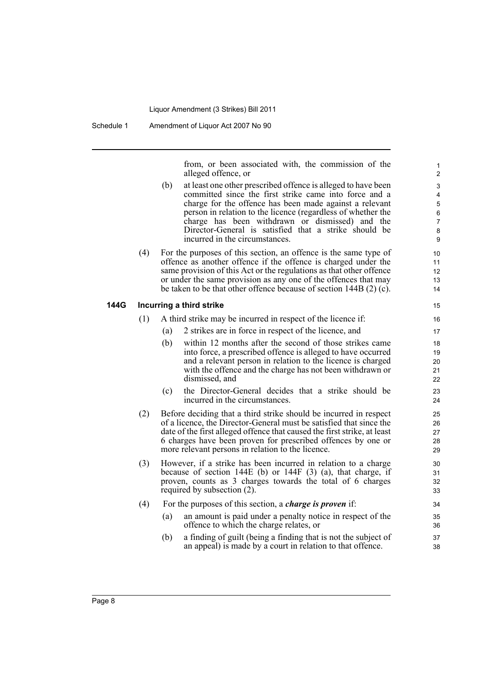from, or been associated with, the commission of the alleged offence, or

- (b) at least one other prescribed offence is alleged to have been committed since the first strike came into force and a charge for the offence has been made against a relevant person in relation to the licence (regardless of whether the charge has been withdrawn or dismissed) and the Director-General is satisfied that a strike should be incurred in the circumstances.
- (4) For the purposes of this section, an offence is the same type of offence as another offence if the offence is charged under the same provision of this Act or the regulations as that other offence or under the same provision as any one of the offences that may be taken to be that other offence because of section 144B (2) (c).

### **144G Incurring a third strike**

- (1) A third strike may be incurred in respect of the licence if:
	- (a) 2 strikes are in force in respect of the licence, and
	- (b) within 12 months after the second of those strikes came into force, a prescribed offence is alleged to have occurred and a relevant person in relation to the licence is charged with the offence and the charge has not been withdrawn or dismissed, and
	- (c) the Director-General decides that a strike should be incurred in the circumstances.
- (2) Before deciding that a third strike should be incurred in respect of a licence, the Director-General must be satisfied that since the date of the first alleged offence that caused the first strike, at least 6 charges have been proven for prescribed offences by one or more relevant persons in relation to the licence.
- (3) However, if a strike has been incurred in relation to a charge because of section 144E (b) or 144F (3) (a), that charge, if proven, counts as 3 charges towards the total of 6 charges required by subsection (2).
- (4) For the purposes of this section, a *charge is proven* if: (a) an amount is paid under a penalty notice in respect of the
	- offence to which the charge relates, or
	- (b) a finding of guilt (being a finding that is not the subject of an appeal) is made by a court in relation to that offence.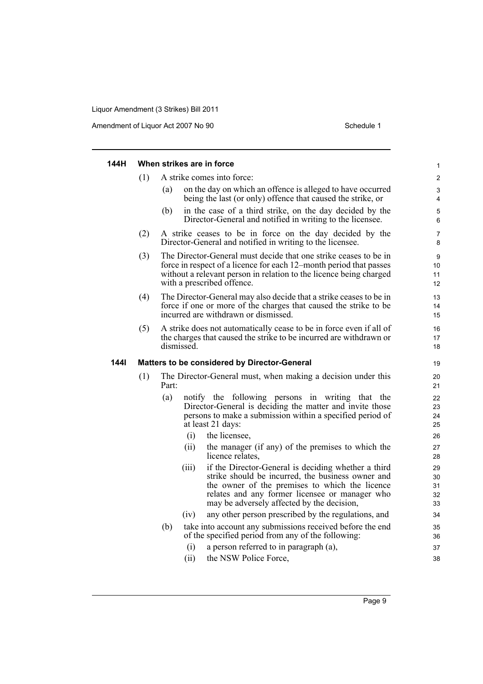Amendment of Liquor Act 2007 No 90 Schedule 1

| 144H |     |       |             | When strikes are in force                                                                                                                                                                                                                                  | $\mathbf{1}$               |
|------|-----|-------|-------------|------------------------------------------------------------------------------------------------------------------------------------------------------------------------------------------------------------------------------------------------------------|----------------------------|
|      | (1) |       |             | A strike comes into force:                                                                                                                                                                                                                                 | $\mathbf{2}$               |
|      |     | (a)   |             | on the day on which an offence is alleged to have occurred<br>being the last (or only) offence that caused the strike, or                                                                                                                                  | 3<br>4                     |
|      |     | (b)   |             | in the case of a third strike, on the day decided by the<br>Director-General and notified in writing to the licensee.                                                                                                                                      | $\mathbf 5$<br>6           |
|      | (2) |       |             | A strike ceases to be in force on the day decided by the<br>Director-General and notified in writing to the licensee.                                                                                                                                      | 7<br>8                     |
|      | (3) |       |             | The Director-General must decide that one strike ceases to be in<br>force in respect of a licence for each 12–month period that passes<br>without a relevant person in relation to the licence being charged<br>with a prescribed offence.                 | 9<br>10<br>11<br>12        |
|      | (4) |       |             | The Director-General may also decide that a strike ceases to be in<br>force if one or more of the charges that caused the strike to be<br>incurred are withdrawn or dismissed.                                                                             | 13<br>14<br>15             |
|      | (5) |       | dismissed.  | A strike does not automatically cease to be in force even if all of<br>the charges that caused the strike to be incurred are withdrawn or                                                                                                                  | 16<br>17<br>18             |
| 144I |     |       |             | Matters to be considered by Director-General                                                                                                                                                                                                               | 19                         |
|      | (1) | Part: |             | The Director-General must, when making a decision under this                                                                                                                                                                                               | 20<br>21                   |
|      |     | (a)   |             | notify the following persons in writing that the<br>Director-General is deciding the matter and invite those<br>persons to make a submission within a specified period of<br>at least 21 days:                                                             | 22<br>23<br>24<br>25       |
|      |     |       | (i)<br>(ii) | the licensee,                                                                                                                                                                                                                                              | 26                         |
|      |     |       |             | the manager (if any) of the premises to which the<br>licence relates,                                                                                                                                                                                      | 27<br>28                   |
|      |     |       | (iii)       | if the Director-General is deciding whether a third<br>strike should be incurred, the business owner and<br>the owner of the premises to which the licence<br>relates and any former licensee or manager who<br>may be adversely affected by the decision, | 29<br>30<br>31<br>32<br>33 |
|      |     |       | (iv)        | any other person prescribed by the regulations, and                                                                                                                                                                                                        | 34                         |
|      |     | (b)   |             | take into account any submissions received before the end<br>of the specified period from any of the following:                                                                                                                                            | 35<br>36                   |
|      |     |       | (i)         | a person referred to in paragraph (a),                                                                                                                                                                                                                     | 37                         |
|      |     |       | (ii)        | the NSW Police Force,                                                                                                                                                                                                                                      | 38                         |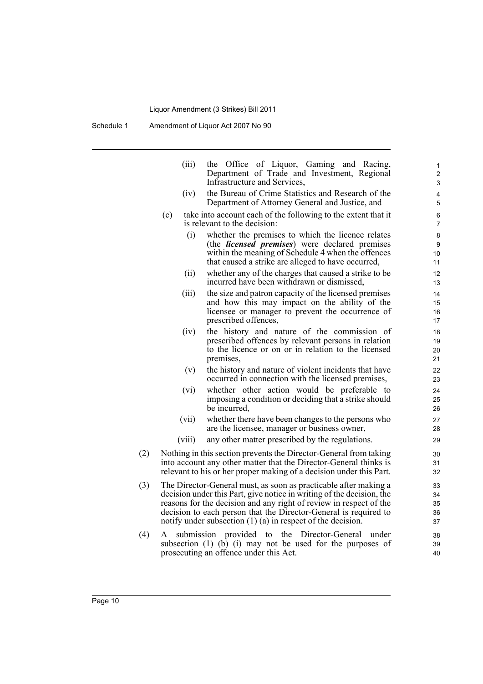Schedule 1 Amendment of Liquor Act 2007 No 90

|     | (iii)  | the Office of Liquor, Gaming and Racing,<br>Department of Trade and Investment, Regional<br>Infrastructure and Services,                    | 1<br>$\overline{2}$<br>3 |
|-----|--------|---------------------------------------------------------------------------------------------------------------------------------------------|--------------------------|
|     | (iv)   | the Bureau of Crime Statistics and Research of the                                                                                          | 4                        |
|     |        | Department of Attorney General and Justice, and                                                                                             | 5                        |
|     | (c)    | take into account each of the following to the extent that it                                                                               | 6                        |
|     |        | is relevant to the decision:                                                                                                                | 7                        |
|     | (i)    | whether the premises to which the licence relates                                                                                           | 8                        |
|     |        | (the <i>licensed premises</i> ) were declared premises<br>within the meaning of Schedule 4 when the offences                                | 9<br>10                  |
|     |        | that caused a strike are alleged to have occurred,                                                                                          | 11                       |
|     | (ii)   | whether any of the charges that caused a strike to be<br>incurred have been withdrawn or dismissed,                                         | 12<br>13                 |
|     | (iii)  | the size and patron capacity of the licensed premises                                                                                       | 14                       |
|     |        | and how this may impact on the ability of the                                                                                               | 15                       |
|     |        | licensee or manager to prevent the occurrence of<br>prescribed offences,                                                                    | 16<br>17                 |
|     | (iv)   | the history and nature of the commission of                                                                                                 | 18                       |
|     |        | prescribed offences by relevant persons in relation                                                                                         | 19                       |
|     |        | to the licence or on or in relation to the licensed                                                                                         | 20                       |
|     |        | premises,                                                                                                                                   | 21                       |
|     | (v)    | the history and nature of violent incidents that have<br>occurred in connection with the licensed premises,                                 | 22<br>23                 |
|     | (vi)   | whether other action would be preferable to                                                                                                 | 24                       |
|     |        | imposing a condition or deciding that a strike should<br>be incurred,                                                                       | 25<br>26                 |
|     | (vii)  | whether there have been changes to the persons who                                                                                          | 27                       |
|     |        | are the licensee, manager or business owner,                                                                                                | 28                       |
|     | (viii) | any other matter prescribed by the regulations.                                                                                             | 29                       |
| (2) |        | Nothing in this section prevents the Director-General from taking                                                                           | 30                       |
|     |        | into account any other matter that the Director-General thinks is                                                                           | 31                       |
|     |        | relevant to his or her proper making of a decision under this Part.                                                                         | 32                       |
| (3) |        | The Director-General must, as soon as practicable after making a                                                                            | 33                       |
|     |        | decision under this Part, give notice in writing of the decision, the<br>reasons for the decision and any right of review in respect of the | 34<br>35                 |
|     |        | decision to each person that the Director-General is required to                                                                            | 36                       |
|     |        | notify under subsection $(1)$ $(a)$ in respect of the decision.                                                                             | 37                       |
| (4) | A      | the<br>submission provided to<br>Director-General<br>under                                                                                  | 38                       |
|     |        | subsection (1) (b) (i) may not be used for the purposes of                                                                                  | 39                       |
|     |        | prosecuting an offence under this Act.                                                                                                      | 40                       |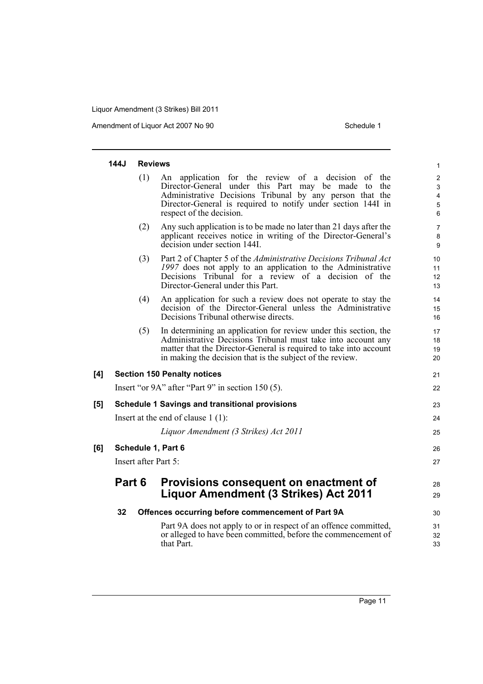Amendment of Liquor Act 2007 No 90 Schedule 1

|     | 144J   | <b>Reviews</b>                                        | 1                                                                                                                                                                                                                                                                    |                                    |  |  |  |
|-----|--------|-------------------------------------------------------|----------------------------------------------------------------------------------------------------------------------------------------------------------------------------------------------------------------------------------------------------------------------|------------------------------------|--|--|--|
|     |        | (1)                                                   | An application for the review of a decision of the<br>Director-General under this Part may be made to<br>the<br>Administrative Decisions Tribunal by any person that the<br>Director-General is required to notify under section 144I in<br>respect of the decision. | $\overline{c}$<br>3<br>4<br>5<br>6 |  |  |  |
|     |        | (2)                                                   | Any such application is to be made no later than 21 days after the<br>applicant receives notice in writing of the Director-General's<br>decision under section 144I.                                                                                                 | 7<br>8<br>9                        |  |  |  |
|     |        | (3)                                                   | Part 2 of Chapter 5 of the Administrative Decisions Tribunal Act<br>1997 does not apply to an application to the Administrative<br>Decisions Tribunal for a review of a decision of the<br>Director-General under this Part.                                         | 10<br>11<br>12<br>13               |  |  |  |
|     |        | (4)                                                   | An application for such a review does not operate to stay the<br>decision of the Director-General unless the Administrative<br>Decisions Tribunal otherwise directs.                                                                                                 | 14<br>15<br>16                     |  |  |  |
|     |        | (5)                                                   | In determining an application for review under this section, the<br>Administrative Decisions Tribunal must take into account any<br>matter that the Director-General is required to take into account<br>in making the decision that is the subject of the review.   | 17<br>18<br>19<br>20               |  |  |  |
| [4] |        |                                                       | <b>Section 150 Penalty notices</b>                                                                                                                                                                                                                                   | 21                                 |  |  |  |
|     |        |                                                       | Insert "or 9A" after "Part 9" in section 150 (5).                                                                                                                                                                                                                    | 22                                 |  |  |  |
| [5] |        | <b>Schedule 1 Savings and transitional provisions</b> |                                                                                                                                                                                                                                                                      |                                    |  |  |  |
|     |        |                                                       | Insert at the end of clause $1(1)$ :                                                                                                                                                                                                                                 | 24                                 |  |  |  |
|     |        |                                                       | Liquor Amendment (3 Strikes) Act 2011                                                                                                                                                                                                                                | 25                                 |  |  |  |
| [6] |        | Schedule 1, Part 6                                    |                                                                                                                                                                                                                                                                      |                                    |  |  |  |
|     |        |                                                       | Insert after Part 5:                                                                                                                                                                                                                                                 | 27                                 |  |  |  |
|     | Part 6 |                                                       | Provisions consequent on enactment of<br><b>Liquor Amendment (3 Strikes) Act 2011</b>                                                                                                                                                                                | 28<br>29                           |  |  |  |
|     | 32     |                                                       | Offences occurring before commencement of Part 9A                                                                                                                                                                                                                    | 30                                 |  |  |  |
|     |        |                                                       | Part 9A does not apply to or in respect of an offence committed,<br>or alleged to have been committed, before the commencement of<br>that Part.                                                                                                                      | 31<br>32<br>33                     |  |  |  |